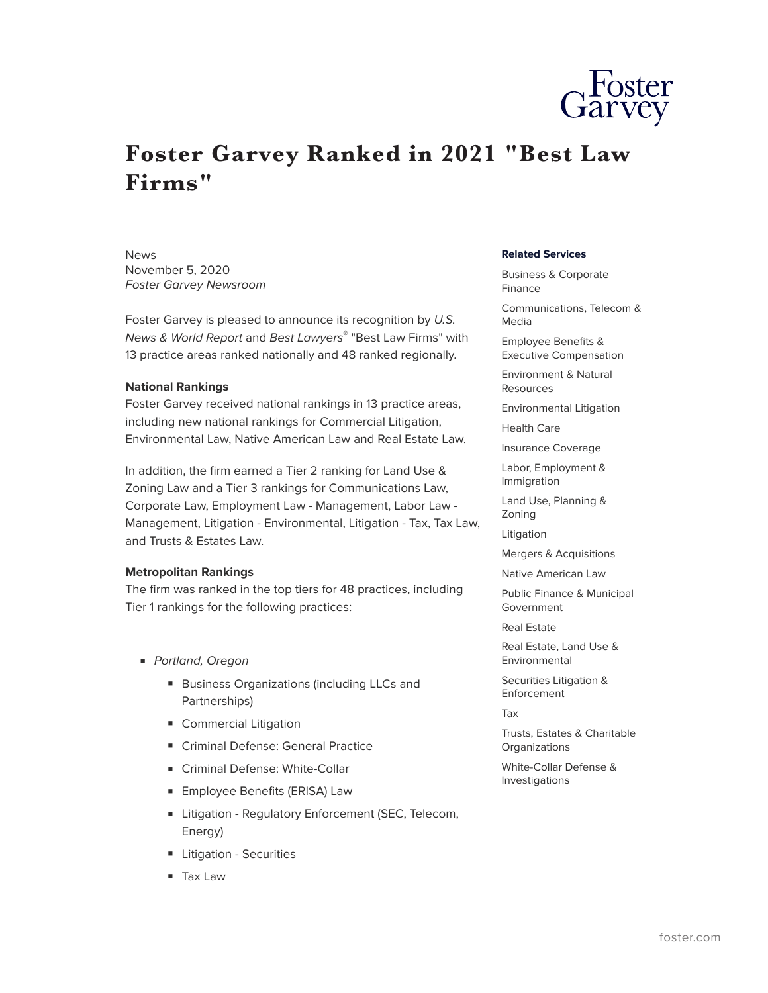

## **Foster Garvey Ranked in 2021 "Best Law Firms"**

News November 5, 2020 *Foster Garvey Newsroom*

Foster Garvey is pleased to announce its recognition by *U.S. News & World Report* and *Best Lawyers*® "Best Law Firms" with 13 practice areas ranked nationally and 48 ranked regionally.

## **National Rankings**

Foster Garvey received national rankings in 13 practice areas, including new national rankings for Commercial Litigation, Environmental Law, Native American Law and Real Estate Law.

In addition, the firm earned a Tier 2 ranking for Land Use & Zoning Law and a Tier 3 rankings for Communications Law, Corporate Law, Employment Law - Management, Labor Law - Management, Litigation - Environmental, Litigation - Tax, Tax Law, and Trusts & Estates Law.

## **Metropolitan Rankings**

The firm was ranked in the top tiers for 48 practices, including Tier 1 rankings for the following practices:

- *Portland, Oregon*
	- Business Organizations (including LLCs and Partnerships)
	- Commercial Litigation
	- Criminal Defense: General Practice
	- Criminal Defense: White-Collar
	- Employee Benefits (ERISA) Law
	- Litigation Regulatory Enforcement (SEC, Telecom, Energy)
	- Litigation Securities
	- Tax Law

## **Related Services**

Business & Corporate Finance Communications, Telecom & Media Employee Benefits & Executive Compensation Environment & Natural Resources Environmental Litigation Health Care Insurance Coverage Labor, Employment & Immigration Land Use, Planning & Zoning Litigation Mergers & Acquisitions Native American Law Public Finance & Municipal Government Real Estate Real Estate, Land Use & Environmental Securities Litigation & Enforcement Tax Trusts, Estates & Charitable **Organizations** White-Collar Defense & Investigations